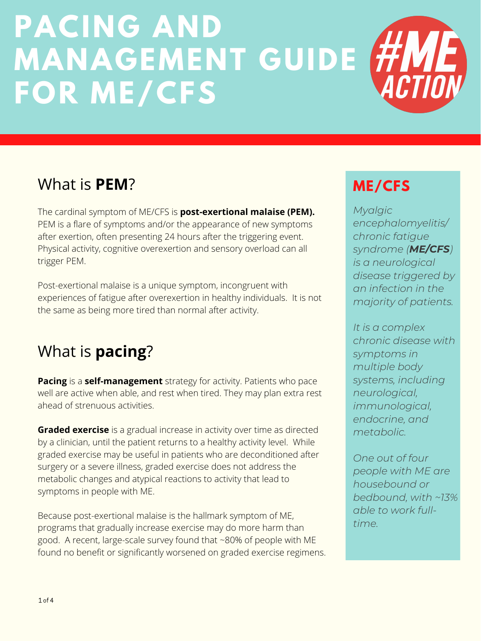The cardinal symptom of ME/CFS is **post-exertional malaise (PEM).** PEM is a flare of symptoms and/or the appearance of new symptoms after exertion, often presenting 24 hours after the triggering event. Physical activity, cognitive overexertion and sensory overload can all trigger PEM.

Post-exertional malaise is a unique symptom, incongruent with experiences of fatigue after overexertion in healthy individuals. It is not the same as being more tired than normal after activity.

# **PACING AND MANAGEMENT GUIDE FOR ME/CFS**

# **ME/CFS**

*Myalgic encephalomyelitis/ chronic fatigue syndrome (ME/CFS) is a neurological disease triggered by an infection in the majority of patients.*

*It is a complex*

**Graded exercise** is a gradual increase in activity over time as directed by a clinician, until the patient returns to a healthy activity level. While graded exercise may be useful in patients who are deconditioned after surgery or a severe illness, graded exercise does not address the metabolic changes and atypical reactions to activity that lead to symptoms in people with ME.

*chronic disease with symptoms in multiple body systems, including neurological, immunological, endocrine, and metabolic.*

*One out of four people with ME are housebound or bedbound, with ~13% able to work fulltime.*

## What is **PEM**?

**Pacing** is a **self-management** strategy for activity. Patients who pace well are active when able, and rest when tired. They may plan extra rest ahead of strenuous activities.

Because post-exertional malaise is the hallmark symptom of ME, programs that gradually increase exercise may do more harm than good. A recent, large-scale survey found that ~80% of people with ME found no benefit or significantly worsened on graded exercise regimens.

# What is **pacing**?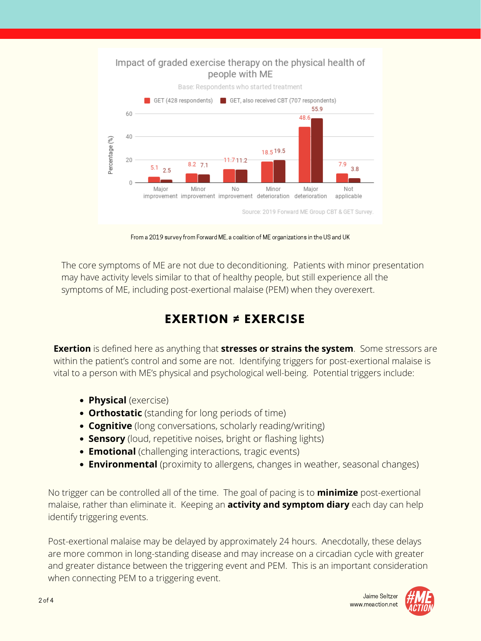#### Impact of graded exercise therapy on the physical health of people with ME



Base: Respondents who started treatment

No trigger can be controlled all of the time. The goal of pacing is to **minimize** post-exertional malaise, rather than eliminate it. Keeping an **activity and symptom diary** each day can help identify triggering events.

Post-exertional malaise may be delayed by approximately 24 hours. Anecdotally, these delays are more common in long-standing disease and may increase on a circadian cycle with greater and greater distance between the triggering event and PEM. This is an important consideration when connecting PEM to a triggering event.

- **Physical** (exercise)
- **Orthostatic** (standing for long periods of time)
- **Cognitive** (long conversations, scholarly reading/writing)
- **Sensory** (loud, repetitive noises, bright or flashing lights)
- **Emotional** (challenging interactions, tragic events)
- **Environmental** (proximity to allergens, changes in weather, seasonal changes)

The core symptoms of ME are not due to deconditioning. Patients with minor presentation may have activity levels similar to that of healthy people, but still experience all the symptoms of ME, including post-exertional malaise (PEM) when they overexert.

**Exertion** is defined here as anything that **stresses or strains the system**. Some stressors are within the patient's control and some are not. Identifying triggers for post-exertional malaise is vital to a person with ME's physical and psychological well-being. Potential triggers include:

## **EXERTION ≠ EXERCISE**

From a 2019 survey from Forward ME, a coalition of ME organizations in the US and UK

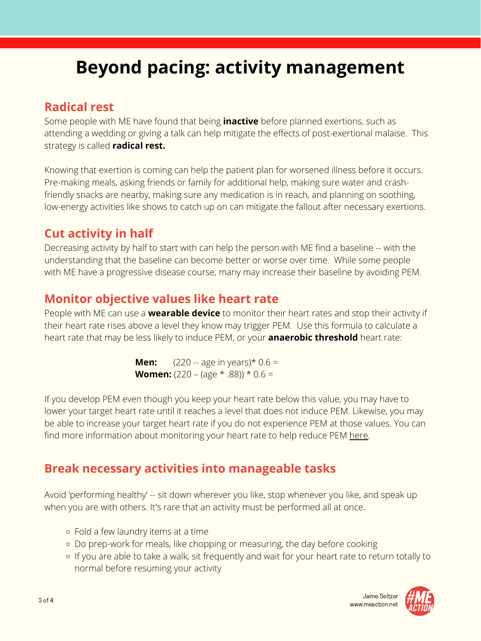# **Beyond pacing: activity management**

## **Radical rest**

Some people with ME have found that being **inactive** before planned exertions, such as attending a wedding or giving a talk can help mitigate the effects of post-exertional malaise. This strategy is called **radical rest.**

Decreasing activity by half to start with can help the person with ME find a baseline -- with the understanding that the baseline can become better or worse over time. While some people with ME have a progressive disease course, many may increase their baseline by avoiding PEM.

Knowing that exertion is coming can help the patient plan for worsened illness before it occurs. Pre-making meals, asking friends or family for additional help, making sure water and crashfriendly snacks are nearby, making sure any medication is in reach, and planning on soothing, low-energy activities like shows to catch up on can mitigate the fallout after necessary exertions.

## **Cut activity in half**

If you develop PEM even though you keep your heart rate below this value, you may have to lower your target heart rate until it reaches a level that does not induce PEM. Likewise, you may be able to increase your target heart rate if you do not experience PEM at those values. You can find more information about monitoring your heart rate to help reduce PEM [here.](https://www.prohealth.com/me-cfs/library/using-heart-rate-monitor-prevent-post-exertional-malaise-cfs-91620)

## **Monitor objective values like heart rate**

Avoid 'performing healthy' -- sit down wherever you like, stop whenever you like, and speak up when you are with others. It's rare that an activity must be performed all at once.

People with ME can use a **wearable device** to monitor their heart rates and stop their activity if their heart rate rises above a level they know may trigger PEM. Use this formula to calculate a

heart rate that may be less likely to induce PEM, or your **anaerobic threshold** heart rate:

**Men:**  $(220 -$ age in years) $*$  0.6 = **Women:**  $(220 - (age * .88)) * 0.6 =$ 

- Fold a few laundry items at a time
- o Do prep-work for meals, like chopping or measuring, the day before cooking
- o If you are able to take a walk, sit frequently and wait for your heart rate to return totally to normal before resuming your activity

## **Break necessary activities into manageable tasks**